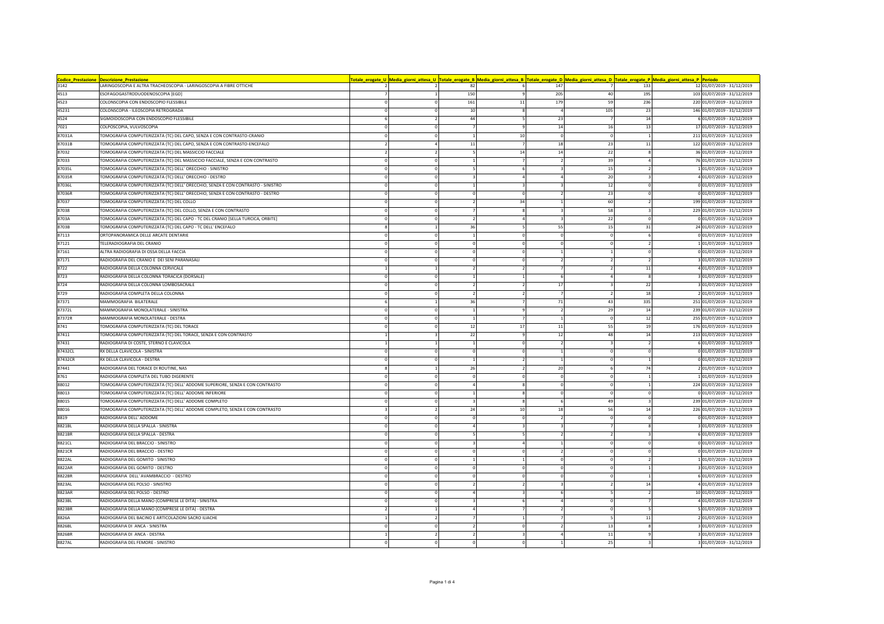| Codice_Prestazione | <b>Descrizione Prestazione</b>                                                  |          |                |              |        |                | <mark>'otale_erogate_U  Media_giorni_attesa_U  Totale_erogate_B  Media_giorni_attesa_B  Totale_erogate_D  Media_giorni_attesa_D  Totale_erogate_P  Media_giorni_attesa_P  Periodo</mark> |                             |
|--------------------|---------------------------------------------------------------------------------|----------|----------------|--------------|--------|----------------|------------------------------------------------------------------------------------------------------------------------------------------------------------------------------------------|-----------------------------|
| 3142               | LARINGOSCOPIA E ALTRA TRACHEOSCOPIA - LARINGOSCOPIA A FIBRE OTTICHE             |          | 82             |              | 147    |                | 133                                                                                                                                                                                      | 12 01/07/2019 - 31/12/2019  |
| 4513               | ESOFAGOGASTRODUODENOSCOPIA [EGD]                                                |          | 150            | -9           | 205    | 40             | 195                                                                                                                                                                                      | 103 01/07/2019 - 31/12/2019 |
| 4523               | COLONSCOPIA CON ENDOSCOPIO FLESSIBILE                                           |          | 161            | 11           | 179    | 59             | 236                                                                                                                                                                                      | 220 01/07/2019 - 31/12/2019 |
| 45231              | COLONSCOPIA - ILEOSCOPIA RETROGRADA                                             |          | 10             | <b>g</b>     |        | 105            | 23                                                                                                                                                                                       | 146 01/07/2019 - 31/12/2019 |
| 4524               | SIGMOIDOSCOPIA CON ENDOSCOPIO FLESSIBILE                                        |          | 44             | 5            | 23     |                | 14                                                                                                                                                                                       | 6 01/07/2019 - 31/12/2019   |
| 7021               | COLPOSCOPIA, VULVOSCOPIA                                                        | $\Omega$ | $\overline{7}$ |              | 14     | 16             | 13                                                                                                                                                                                       | 17 01/07/2019 - 31/12/2019  |
| 87031A             | TOMOGRAFIA COMPUTERIZZATA (TC) DEL CAPO, SENZA E CON CONTRASTO-CRANIO           |          |                | 10           |        |                |                                                                                                                                                                                          | 211 01/07/2019 - 31/12/2019 |
| 87031B             | TOMOGRAFIA COMPUTERIZZATA (TC) DEL CAPO, SENZA E CON CONTRASTO-ENCEFALO         |          | $11\,$         |              | 18     | 23             | 11                                                                                                                                                                                       | 122 01/07/2019 - 31/12/2019 |
| 87032              | TOMOGRAFIA COMPUTERIZZATA (TC) DEL MASSICCIO FACCIALE                           |          | 5              | 14           | 14     | 22             |                                                                                                                                                                                          | 36 01/07/2019 - 31/12/2019  |
| 87033              | TOMOGRAFIA COMPUTERIZZATA (TC) DEL MASSICCIO FACCIALE, SENZA E CON CONTRASTO    | $\Omega$ |                |              |        | 39             |                                                                                                                                                                                          | 76 01/07/2019 - 31/12/2019  |
| 87035L             | TOMOGRAFIA COMPUTERIZZATA (TC) DELL' ORECCHIO - SINISTRO                        |          |                |              |        | 15             |                                                                                                                                                                                          | 1 01/07/2019 - 31/12/2019   |
| 87035R             | TOMOGRAFIA COMPUTERIZZATA (TC) DELL' ORECCHIO - DESTRO                          |          |                |              |        | 20             |                                                                                                                                                                                          | 4 01/07/2019 - 31/12/2019   |
| 87036L             | TOMOGRAFIA COMPUTERIZZATA (TC) DELL' ORECCHIO, SENZA E CON CONTRASTO - SINISTRO | $\Omega$ |                |              |        | 12             |                                                                                                                                                                                          | 0 01/07/2019 - 31/12/2019   |
| 87036R             | TOMOGRAFIA COMPUTERIZZATA (TC) DELL' ORECCHIO, SENZA E CON CONTRASTO - DESTRO   |          |                | $\Omega$     |        | 23             |                                                                                                                                                                                          | 0 01/07/2019 - 31/12/2019   |
| 87037              | TOMOGRAFIA COMPUTERIZZATA (TC) DEL COLLO                                        |          |                | 34           |        | 60             |                                                                                                                                                                                          | 199 01/07/2019 - 31/12/2019 |
| 87038              | TOMOGRAFIA COMPUTERIZZATA (TC) DEL COLLO, SENZA E CON CONTRASTO                 |          |                |              |        | 58             |                                                                                                                                                                                          | 229 01/07/2019 - 31/12/2019 |
| 8703A              | TOMOGRAFIA COMPUTERIZZATA (TC) DEL CAPO - TC DEL CRANIO [SELLA TURCICA, ORBITE] |          |                |              |        | 22             |                                                                                                                                                                                          | 0 01/07/2019 - 31/12/2019   |
| 8703B              | TOMOGRAFIA COMPUTERIZZATA (TC) DEL CAPO - TC DELL' ENCEFALO                     |          | 36             |              | 55     | 15             | 31                                                                                                                                                                                       | 24 01/07/2019 - 31/12/2019  |
| 87113              | ORTOPANORAMICA DELLE ARCATE DENTARIE                                            |          |                |              |        |                |                                                                                                                                                                                          | 0 01/07/2019 - 31/12/2019   |
| 87121              | TELERADIOGRAFIA DEL CRANIO                                                      |          |                |              |        |                |                                                                                                                                                                                          | 1 01/07/2019 - 31/12/2019   |
| 87161              | ALTRA RADIOGRAFIA DI OSSA DELLA FACCIA                                          |          |                |              |        |                |                                                                                                                                                                                          | 0 01/07/2019 - 31/12/2019   |
| 87171              | RADIOGRAFIA DEL CRANIO E DEI SENI PARANASALI                                    |          |                |              |        |                |                                                                                                                                                                                          | 3 01/07/2019 - 31/12/2019   |
| 8722               | RADIOGRAFIA DELLA COLONNA CERVICALE                                             |          |                |              |        |                | 11                                                                                                                                                                                       | 4 01/07/2019 - 31/12/2019   |
| 8723               | RADIOGRAFIA DELLA COLONNA TORACICA (DORSALE)                                    |          |                |              |        |                |                                                                                                                                                                                          | 3 01/07/2019 - 31/12/2019   |
| 8724               | RADIOGRAFIA DELLA COLONNA LOMBOSACRALE                                          |          |                |              | 17     |                | 22                                                                                                                                                                                       | 3 01/07/2019 - 31/12/2019   |
| 8729               | RADIOGRAFIA COMPLETA DELLA COLONNA                                              |          | $\mathcal{P}$  |              |        | $\overline{2}$ | 18                                                                                                                                                                                       | 2 01/07/2019 - 31/12/2019   |
| 87371              | MAMMOGRAFIA BILATERALE                                                          |          | 36             |              | 71     | 43             | 335                                                                                                                                                                                      | 251 01/07/2019 - 31/12/2019 |
| 87372L             | MAMMOGRAFIA MONOLATERALE - SINISTRA                                             |          |                |              |        | 29             | 14                                                                                                                                                                                       | 239 01/07/2019 - 31/12/2019 |
| 87372R             | MAMMOGRAFIA MONOLATERALE - DESTRA                                               |          |                |              |        |                | 12                                                                                                                                                                                       | 255 01/07/2019 - 31/12/2019 |
| 8741               | TOMOGRAFIA COMPUTERIZZATA (TC) DEL TORACE                                       |          | 12             | 17           | $11\,$ | 55             | 19                                                                                                                                                                                       | 176 01/07/2019 - 31/12/2019 |
| 87411              | TOMOGRAFIA COMPUTERIZZATA (TC) DEL TORACE, SENZA E CON CONTRASTO                |          | 22             |              | 12     | 48             | 14                                                                                                                                                                                       | 213 01/07/2019 - 31/12/2019 |
| 87431              | RADIOGRAFIA DI COSTE, STERNO E CLAVICOLA                                        |          |                |              |        |                |                                                                                                                                                                                          | 6 01/07/2019 - 31/12/2019   |
| 87432CL            | RX DELLA CLAVICOLA - SINISTRA                                                   |          |                |              |        |                |                                                                                                                                                                                          | 0 01/07/2019 - 31/12/2019   |
| 87432CR            | RX DELLA CLAVICOLA - DESTRA                                                     |          | $\overline{1}$ |              |        | $\Omega$       |                                                                                                                                                                                          | $0 01/07/2019 - 31/12/2019$ |
| 87441              | RADIOGRAFIA DEL TORACE DI ROUTINE, NAS                                          |          | 26             |              | 20     |                | 74                                                                                                                                                                                       | 2 01/07/2019 - 31/12/2019   |
| 8761               | RADIOGRAFIA COMPLETA DEL TUBO DIGERENTE                                         |          |                |              |        |                |                                                                                                                                                                                          | 1 01/07/2019 - 31/12/2019   |
| 88012              | TOMOGRAFIA COMPUTERIZZATA (TC) DELL' ADDOME SUPERIORE, SENZA E CON CONTRASTO    |          |                |              |        |                |                                                                                                                                                                                          | 224 01/07/2019 - 31/12/2019 |
| 88013              | TOMOGRAFIA COMPUTERIZZATA (TC) DELL' ADDOME INFERIORE                           |          |                |              |        |                |                                                                                                                                                                                          | 0 01/07/2019 - 31/12/2019   |
| 88015              | TOMOGRAFIA COMPUTERIZZATA (TC) DELL' ADDOME COMPLETO                            |          |                | $\mathbf{R}$ |        | 49             |                                                                                                                                                                                          | 239 01/07/2019 - 31/12/2019 |
| 88016              | TOMOGRAFIA COMPUTERIZZATA (TC) DELL' ADDOME COMPLETO, SENZA E CON CONTRASTO     |          | 24             | 10           | 18     | 56             | 14                                                                                                                                                                                       | 226 01/07/2019 - 31/12/2019 |
| 8819               | RADIOGRAFIA DELL' ADDOME                                                        |          |                |              |        |                |                                                                                                                                                                                          | 0 01/07/2019 - 31/12/2019   |
| 8821BL             | RADIOGRAFIA DELLA SPALLA - SINISTRA                                             | $\Omega$ |                | 3            |        |                |                                                                                                                                                                                          | 3 01/07/2019 - 31/12/2019   |
| 8821BR             | RADIOGRAFIA DELLA SPALLA - DESTRA                                               |          |                |              |        |                |                                                                                                                                                                                          | 6 01/07/2019 - 31/12/2019   |
| 8821CL             | RADIOGRAFIA DEL BRACCIO - SINISTRO                                              |          |                |              |        |                |                                                                                                                                                                                          | 0 01/07/2019 - 31/12/2019   |
| 8821CR             | RADIOGRAFIA DEL BRACCIO - DESTRO                                                |          |                |              |        |                |                                                                                                                                                                                          | 0 01/07/2019 - 31/12/2019   |
| 8822AL             | RADIOGRAFIA DEL GOMITO - SINISTRO                                               |          |                |              |        |                |                                                                                                                                                                                          | 101/07/2019 - 31/12/2019    |
| 8822AR             | RADIOGRAFIA DEL GOMITO - DESTRO                                                 |          |                |              |        |                |                                                                                                                                                                                          | 3 01/07/2019 - 31/12/2019   |
| 8822BR             | RADIOGRAFIA DELL' AVAMBRACCIO - DESTRO                                          |          |                |              |        |                |                                                                                                                                                                                          | 6 01/07/2019 - 31/12/2019   |
| 8823AL             | RADIOGRAFIA DEL POLSO - SINISTRO                                                |          |                |              |        |                | 14                                                                                                                                                                                       | 4 01/07/2019 - 31/12/2019   |
| 8823AR             | RADIOGRAFIA DEL POLSO - DESTRO                                                  | $\Omega$ |                |              |        | -5             | $\overline{2}$                                                                                                                                                                           | 10 01/07/2019 - 31/12/2019  |
| 8823BL             | RADIOGRAFIA DELLA MANO (COMPRESE LE DITA) - SINISTRA                            |          |                |              |        |                |                                                                                                                                                                                          | 4 01/07/2019 - 31/12/2019   |
| 8823BR             | RADIOGRAFIA DELLA MANO (COMPRESE LE DITA) - DESTRA                              |          |                |              |        | $^{\circ}$     |                                                                                                                                                                                          | 5 01/07/2019 - 31/12/2019   |
| 8826A              | RADIOGRAFIA DEL BACINO E ARTICOLAZIONI SACRO ILIACHE                            |          |                |              |        |                | 11                                                                                                                                                                                       | 2 01/07/2019 - 31/12/2019   |
| 8826BL             | RADIOGRAFIA DI ANCA - SINISTRA                                                  |          |                | $\Omega$     |        | 13             |                                                                                                                                                                                          | 3 01/07/2019 - 31/12/2019   |
| 8826BR             | RADIOGRAFIA DI ANCA - DESTRA                                                    |          |                |              |        | 11             |                                                                                                                                                                                          | 3 01/07/2019 - 31/12/2019   |
| 8827AL             | RADIOGRAFIA DEL FEMORE - SINISTRO                                               |          |                |              |        | 25             |                                                                                                                                                                                          | 3 01/07/2019 - 31/12/2019   |
|                    |                                                                                 |          |                |              |        |                |                                                                                                                                                                                          |                             |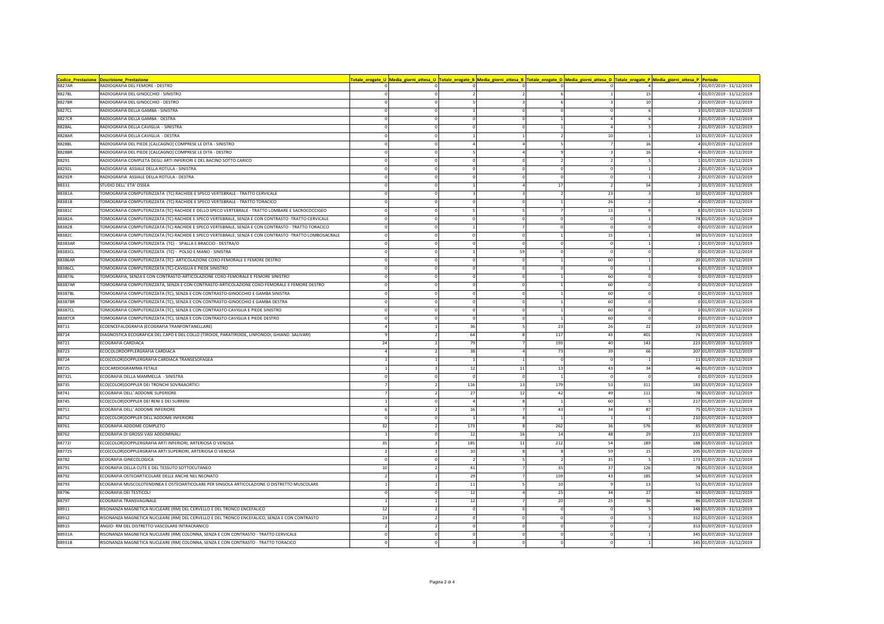| Codice_Prestazione | <b>Descrizione_Prestazione</b>                                                                        |                |                |              |     |            |     | <u>'otale_erogate_U  Media_giorni_attesa_U  Totale_erogate_B  Media_giorni_attesa_B  Totale_erogate_D  Media_giorni_attesa_D  Totale_erogate_P  Media_giorni_attesa_P  Periodo</u> |
|--------------------|-------------------------------------------------------------------------------------------------------|----------------|----------------|--------------|-----|------------|-----|------------------------------------------------------------------------------------------------------------------------------------------------------------------------------------|
| 8827AR             | RADIOGRAFIA DEL FEMORE - DESTRO                                                                       |                |                |              |     |            |     | 7 01/07/2019 - 31/12/2019                                                                                                                                                          |
| 8827BL             | RADIOGRAFIA DEL GINOCCHIO - SINISTRO                                                                  |                |                |              |     |            | 15  | 4 01/07/2019 - 31/12/2019                                                                                                                                                          |
| 8827BR             | RADIOGRAFIA DEL GINOCCHIO - DESTRO                                                                    |                |                |              |     |            | 10  | 2 01/07/2019 - 31/12/2019                                                                                                                                                          |
| 8827CL             | RADIOGRAFIA DELLA GAMBA - SINISTRA                                                                    |                |                |              |     |            |     | 3 01/07/2019 - 31/12/2019                                                                                                                                                          |
| 8827CR             | RADIOGRAFIA DELLA GAMBA - DESTRA                                                                      |                | $\Omega$       |              |     |            |     | 3 01/07/2019 - 31/12/2019                                                                                                                                                          |
| 8828AL             | RADIOGRAFIA DELLA CAVIGLIA - SINISTRA                                                                 |                |                |              |     |            |     | 2 01/07/2019 - 31/12/2019                                                                                                                                                          |
| 8828AR             | RADIOGRAFIA DELLA CAVIGLIA - DESTRA                                                                   |                |                |              |     | 10         |     | 13 01/07/2019 - 31/12/2019                                                                                                                                                         |
| 8828BL             | RADIOGRAFIA DEL PIEDE [CALCAGNO] COMPRESE LE DITA - SINISTRO                                          |                |                |              |     |            | 16  | 4 01/07/2019 - 31/12/2019                                                                                                                                                          |
| 8828BR             | RADIOGRAFIA DEL PIEDE [CALCAGNO] COMPRESE LE DITA - DESTRO                                            |                |                |              |     |            | 16  | 4 01/07/2019 - 31/12/2019                                                                                                                                                          |
| 88291              | RADIOGRAFIA COMPLETA DEGLI ARTI INFERIORI E DEL BACINO SOTTO CARICO                                   |                |                |              |     |            |     | 101/07/2019 - 31/12/2019                                                                                                                                                           |
| 88292L             | RADIOGRAFIA ASSIALE DELLA ROTULA - SINISTRA                                                           |                |                |              |     |            |     | 2 01/07/2019 - 31/12/2019                                                                                                                                                          |
| 88292R             | RADIOGRAFIA ASSIALE DELLA ROTULA - DESTRA                                                             |                |                |              |     |            |     | 2 01/07/2019 - 31/12/2019                                                                                                                                                          |
| 88331              | STUDIO DELL' ETA' OSSEA                                                                               |                |                |              | 17  |            | 54  | 2 01/07/2019 - 31/12/2019                                                                                                                                                          |
| 88381A             | TOMOGRAFIA COMPUTERIZZATA (TC) RACHIDE E SPECO VERTEBRALE - TRATTO CERVICALE                          |                |                |              |     | 23         |     | 10 01/07/2019 - 31/12/2019                                                                                                                                                         |
| 88381B             | TOMOGRAFIA COMPUTERIZZATA (TC) RACHIDE E SPECO VERTEBRALE - TRATTO TORACICO                           |                |                |              |     | 26         |     | 4 01/07/2019 - 31/12/2019                                                                                                                                                          |
| 88381C             | TOMOGRAFIA COMPUTERIZZATA (TC) RACHIDE E DELLO SPECO VERTEBRALE - TRATTO LOMBARE E SACROCOCCIGEO      |                |                |              |     | 13         |     | 8 01/07/2019 - 31/12/2019                                                                                                                                                          |
| 88382A             | TOMOGRAFIA COMPUTERIZZATA (TC) RACHIDE E SPECO VERTEBRALE, SENZA E CON CONTRASTO -TRATTO CERVICALE    |                |                |              |     |            |     | 78 01/07/2019 - 31/12/2019                                                                                                                                                         |
| 88382B             | TOMOGRAFIA COMPUTERIZZATA (TC) RACHIDE E SPECO VERTEBRALE, SENZA E CON CONTRASTO - TRATTO TORACICO    |                |                |              |     | $\Omega$   |     | 0 01/07/2019 - 31/12/2019                                                                                                                                                          |
| 88382C             | TOMOGRAFIA COMPUTERIZZATA (TC) RACHIDE E SPECO VERTEBRALE, SENZA E CON CONTRASTO -TRATTO LOMBOSACRALE |                |                |              |     | 15         |     | 38 01/07/2019 - 31/12/2019                                                                                                                                                         |
| 88383AR            | TOMOGRAFIA COMPUTERIZZATA (TC) - SPALLA E BRACCIO - DESTRA/O                                          |                |                | $\Omega$     |     | $\Omega$   |     | 101/07/2019 - 31/12/2019                                                                                                                                                           |
| 88383CL            | TOMOGRAFIA COMPUTERIZZATA (TC) - POLSO E MANO - SINISTRA                                              |                |                | 59           |     | $^{\circ}$ |     | 0 01/07/2019 - 31/12/2019                                                                                                                                                          |
| 88386AR            | TOMOGRAFIA COMPUTERIZZATA (TC)- ARTICOLAZIONE COXO-FEMORALE E FEMORE DESTRO                           |                |                |              |     | 60         |     | 20 01/07/2019 - 31/12/2019                                                                                                                                                         |
| 88386CL            | TOMOGRAFIA COMPUTERIZZATA (TC)-CAVIGLIA E PIEDE SINISTRO                                              |                |                |              |     |            |     | 6 01/07/2019 - 31/12/2019                                                                                                                                                          |
| 88387AL            | TOMOGRAFIA, SENZA E CON CONTRASTO-ARTICOLAZIONE COXO-FEMORALE E FEMORE SINISTRO                       |                | $\Omega$       | $\Omega$     |     | 60         |     | 0 01/07/2019 - 31/12/2019                                                                                                                                                          |
| 88387AR            | TOMOGRAFIA COMPUTERIZZATA, SENZA E CON CONTRASTO-ARTICOLAZIONE COXO-FEMORALE E FEMORE DESTRO          |                |                |              |     | 60         |     | 0 01/07/2019 - 31/12/2019                                                                                                                                                          |
| 88387BL            | TOMOGRAFIA COMPUTERIZZATA (TC), SENZA E CON CONTRASTO-GINOCCHIO E GAMBA SINISTRA                      |                |                |              |     | 60         |     | 0 01/07/2019 - 31/12/2019                                                                                                                                                          |
| 88387BR            | TOMOGRAFIA COMPUTERIZZATA (TC), SENZA E CON CONTRASTO-GINOCCHIO E GAMBA DESTRA                        |                |                |              |     | 60         |     | 0 01/07/2019 - 31/12/2019                                                                                                                                                          |
| 88387CL            | TOMOGRAFIA COMPUTERIZZATA (TC), SENZA E CON CONTRASTO-CAVIGLIA E PIEDE SINISTRO                       |                |                |              |     | 60         |     | 0 01/07/2019 - 31/12/2019                                                                                                                                                          |
| 88387CR            | TOMOGRAFIA COMPUTERIZZATA (TC), SENZA E CON CONTRASTO-CAVIGLIA E PIEDE DESTRO                         |                | $\mathbf 0$    |              |     | 60         |     | 0 01/07/2019 - 31/12/2019                                                                                                                                                          |
| 88711              | ECOENCEFALOGRAFIA (ECOGRAFIA TRANFONTANELLARE)                                                        |                | 36             |              | 23  | 26         | 22  | 23 01/07/2019 - 31/12/2019                                                                                                                                                         |
| 88714              | DIAGNOSTICA ECOGRAFICA DEL CAPO E DEL COLLO (TIROIDE, PARATIROIDE, LINFONODI, GHIAND. SALIVARI)       |                | 64             |              | 117 | 43         | 401 | 76 01/07/2019 - 31/12/2019                                                                                                                                                         |
| 88721              | ECOGRAFIA CARDIACA                                                                                    | -24            | 79             |              | 193 | 40         | 143 | 223 01/07/2019 - 31/12/2019                                                                                                                                                        |
| 88723              | ECOCOLORDOPPLERGRAFIA CARDIACA                                                                        |                | 38             |              | 73  | 39         | 66  | 207 01/07/2019 - 31/12/2019                                                                                                                                                        |
| 88724              | ECO(COLOR)DOPPLERGRAFIA CARDIACA TRANSESOFAGEA                                                        |                |                |              |     |            |     | 11 01/07/2019 - 31/12/2019                                                                                                                                                         |
| 88725              | ECOCARDIOGRAMMA FETALE                                                                                |                | 12             | $11\,$       | 13  | 43         | 34  | 46 01/07/2019 - 31/12/2019                                                                                                                                                         |
| 88732L             | ECOGRAFIA DELLA MAMMELLA - SINISTRA                                                                   |                |                | $\Omega$     |     |            |     | 0 01/07/2019 - 31/12/2019                                                                                                                                                          |
| 88735              | ECO(COLOR)DOPPLER DEI TRONCHI SOVRAAORTICI                                                            |                | 116            | 13           | 179 | 53         | 311 | 183 01/07/2019 - 31/12/2019                                                                                                                                                        |
| 88741              | ECOGRAFIA DELL' ADDOME SUPERIORE                                                                      |                | 27             | 12           | 42  | 49         | 111 | 78 01/07/2019 - 31/12/2019                                                                                                                                                         |
| 88745              | ECO(COLOR)DOPPLER DEI RENI E DEI SURRENI                                                              |                |                |              |     | 60         |     | 217 01/07/2019 - 31/12/2019                                                                                                                                                        |
| 88751              | ECOGRAFIA DELL' ADDOME INFERIORE                                                                      |                | 16             |              | 43  | 34         | 87  | 75 01/07/2019 - 31/12/2019                                                                                                                                                         |
| 88752              | ECO(COLOR) DOPPLER DELL'ADDOME INFERIORE                                                              |                | $\overline{1}$ |              |     |            |     | 210 01/07/2019 - 31/12/2019                                                                                                                                                        |
| 88761              | ECOGRAFIA ADDOME COMPLETO                                                                             | 32             | 173            | $\mathbf{R}$ | 262 | 36         | 576 | 85 01/07/2019 - 31/12/2019                                                                                                                                                         |
| 88762              | ECOGRAFIA DI GROSSI VASI ADDOMINALI                                                                   |                | 12             | 16           | 14  | 48         | 29  | 211 01/07/2019 - 31/12/2019                                                                                                                                                        |
| 887721             | ECO(COLOR)DOPPLERGRAFIA ARTI INFERIORI, ARTERIOSA O VENOSA                                            | 35             | 185            | 11           | 212 | 54         | 189 | 188 01/07/2019 - 31/12/2019                                                                                                                                                        |
| 88772S             | ECO(COLOR)DOPPLERGRAFIA ARTI SUPERIORI, ARTERIOSA O VENOSA                                            | $\overline{2}$ | 10             | 8            | -8  | 59         | 15  | 205 01/07/2019 - 31/12/2019                                                                                                                                                        |
| 88782              | ECOGRAFIA GINECOLOGICA                                                                                |                | $\overline{2}$ |              |     | 35         |     | 173 01/07/2019 - 31/12/2019                                                                                                                                                        |
| 88791              | ECOGRAFIA DELLA CUTE E DEL TESSUTO SOTTOCUTANEO                                                       | 10             | $41\,$         |              | 35  | 37         | 126 | 78 01/07/2019 - 31/12/2019                                                                                                                                                         |
| 88792              | ECOGRAFIA OSTEOARTICOLARE DELLE ANCHE NEL NEONATO                                                     |                | 29             |              | 159 | 43         | 185 | 54 01/07/2019 - 31/12/2019                                                                                                                                                         |
| 88793              | ECOGRAFIA MUSCOLOTENDINEA E OSTEOARTICOLARE PER SINGOLA ARTICOLAZIONE O DISTRETTO MUSCOLARE           |                | $11$           |              | 10  |            | 13  | 51 01/07/2019 - 31/12/2019                                                                                                                                                         |
| 88796              | ECOGRAFIA DEI TESTICOLI                                                                               | $\Omega$       | 12             |              | 25  | 34         | 27  | 43 01/07/2019 - 31/12/2019                                                                                                                                                         |
| 88797              | ECOGRAFIA TRANSVAGINALE                                                                               |                | 12             |              | 20  | 25         | 36  | 86 01/07/2019 - 31/12/2019                                                                                                                                                         |
| 88911              | RISONANZA MAGNETICA NUCLEARE (RM) DEL CERVELLO E DEL TRONCO ENCEFALICO                                | 12             | $\Omega$       |              |     |            |     | 348 01/07/2019 - 31/12/2019                                                                                                                                                        |
| 88912              | RISONANZA MAGNETICA NUCLEARE (RM) DEL CERVELLO E DEL TRONCO ENCEFALICO, SENZA E CON CONTRASTO         | 23             | $^{\circ}$     | $\Omega$     |     |            |     | 352 01/07/2019 - 31/12/2019                                                                                                                                                        |
| 88915              | ANGIO- RM DEL DISTRETTO VASCOLARE INTRACRANICO                                                        |                |                |              |     |            |     | 353 01/07/2019 - 31/12/2019                                                                                                                                                        |
| 88931A             | RISONANZA MAGNETICA NUCLEARE (RM) COLONNA, SENZA E CON CONTRASTO - TRATTO CERVICALE                   |                |                |              |     |            |     | 345 01/07/2019 - 31/12/2019                                                                                                                                                        |
| 88931B             | RISONANZA MAGNETICA NUCLEARE (RM) COLONNA, SENZA E CON CONTRASTO - TRATTO TORACICO                    |                |                |              |     |            |     | 345 01/07/2019 - 31/12/2019                                                                                                                                                        |
|                    |                                                                                                       |                |                |              |     |            |     |                                                                                                                                                                                    |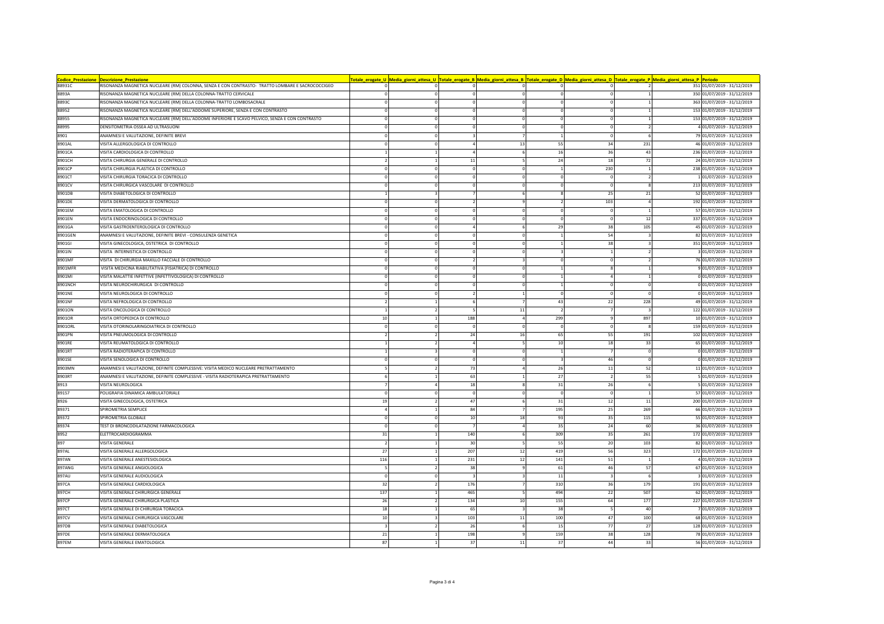| <b>Codice_Prestazione</b> | <b>Descrizione Prestazione</b>                                                                   |          | <u>'otale_erogate_U  Media_giorni_attesa_U  Totale_erogate_B  Media_giorni_attesa_B  Totale_erogate_D  Media_giorni_attesa_D  Totale_erogate_P  Media_giorni_attesa_P  Periodo</u> |          |            |                |     |     |                             |
|---------------------------|--------------------------------------------------------------------------------------------------|----------|------------------------------------------------------------------------------------------------------------------------------------------------------------------------------------|----------|------------|----------------|-----|-----|-----------------------------|
| 88931C                    | RISONANZA MAGNETICA NUCLEARE (RM) COLONNA, SENZA E CON CONTRASTO- TRATTO LOMBARE E SACROCOCCIGEO |          |                                                                                                                                                                                    |          |            |                |     |     | 351 01/07/2019 - 31/12/2019 |
| 8893A                     | RISONANZA MAGNETICA NUCLEARE (RM) DELLA COLONNA-TRATTO CERVICALE                                 |          |                                                                                                                                                                                    |          |            |                |     |     | 350 01/07/2019 - 31/12/2019 |
| 8893C                     | RISONANZA MAGNETICA NUCLEARE (RM) DELLA COLONNA-TRATTO LOMBOSACRALE                              |          |                                                                                                                                                                                    |          |            |                |     |     | 363 01/07/2019 - 31/12/2019 |
| 88952                     | RISONANZA MAGNETICA NUCLEARE (RM) DELL'ADDOME SUPERIORE, SENZA E CON CONTRASTO                   |          |                                                                                                                                                                                    |          |            | $\Omega$       |     |     | 153 01/07/2019 - 31/12/2019 |
| 88955                     | RISONANZA MAGNETICA NUCLEARE (RM) DELL'ADDOME INFERIORE E SCAVO PELVICO, SENZA E CON CONTRASTO   |          |                                                                                                                                                                                    |          |            | $^{\circ}$     |     |     | 153 01/07/2019 - 31/12/2019 |
| 88995                     | DENSITOMETRIA OSSEA AD ULTRASUON                                                                 |          |                                                                                                                                                                                    |          |            | $\Omega$       |     |     | 4 01/07/2019 - 31/12/2019   |
| 8901                      | ANAMNESI E VALUTAZIONE, DEFINITE BREVI                                                           |          |                                                                                                                                                                                    |          |            |                |     |     | 79 01/07/2019 - 31/12/2019  |
| 8901AL                    | VISITA ALLERGOLOGICA DI CONTROLLO                                                                |          |                                                                                                                                                                                    |          | 13         | 55             | 34  | 231 | 46 01/07/2019 - 31/12/2019  |
| 8901CA                    | VISITA CARDIOLOGICA DI CONTROLLO                                                                 |          |                                                                                                                                                                                    |          |            | 16             | 36  | 43  | 236 01/07/2019 - 31/12/2019 |
| 8901CH                    | VISITA CHIRURGIA GENERALE DI CONTROLLO                                                           |          |                                                                                                                                                                                    | 11       |            | 24             | 18  | 72  | 24 01/07/2019 - 31/12/2019  |
| 8901CP                    | VISITA CHIRURGIA PLASTICA DI CONTROLLO                                                           |          |                                                                                                                                                                                    |          |            |                | 230 |     | 238 01/07/2019 - 31/12/2019 |
| 8901CT                    | VISITA CHIRURGIA TORACICA DI CONTROLLO                                                           |          |                                                                                                                                                                                    |          |            |                |     |     | 1 01/07/2019 - 31/12/2019   |
| 8901CV                    | VISITA CHIRURGICA VASCOLARE DI CONTROLLO                                                         |          |                                                                                                                                                                                    |          |            | $^{\circ}$     |     |     | 213 01/07/2019 - 31/12/2019 |
| 8901DB                    | VISITA DIABETOLOGICA DI CONTROLLO                                                                |          |                                                                                                                                                                                    |          |            | $\mathbf{R}$   | 25  | 21  | 52 01/07/2019 - 31/12/2019  |
| 8901DE                    | VISITA DERMATOLOGICA DI CONTROLLO                                                                |          |                                                                                                                                                                                    |          |            |                | 103 |     | 192 01/07/2019 - 31/12/2019 |
| 8901EM                    | VISITA EMATOLOGICA DI CONTROLLO                                                                  |          |                                                                                                                                                                                    |          |            | - 0            |     |     | 57 01/07/2019 - 31/12/2019  |
| 8901EN                    | VISITA ENDOCRINOLOGICA DI CONTROLLO                                                              |          |                                                                                                                                                                                    |          |            | $\Omega$       |     | 12  | 337 01/07/2019 - 31/12/2019 |
| 8901GA                    | VISITA GASTROENTEROLOGICA DI CONTROLLO                                                           |          |                                                                                                                                                                                    |          |            | 29             | 38  | 105 | 45 01/07/2019 - 31/12/2019  |
| 8901GEN                   | ANAMNESI E VALUTAZIONE, DEFINITE BREVI - CONSULENZA GENETICA                                     |          |                                                                                                                                                                                    |          |            |                | 54  |     | 82 01/07/2019 - 31/12/2019  |
| 8901GI                    | VISITA GINECOLOGICA, OSTETRICA DI CONTROLLO                                                      |          |                                                                                                                                                                                    |          |            |                | 38  |     | 351 01/07/2019 - 31/12/2019 |
| 8901IN                    | VISITA INTERNISTICA DI CONTROLLO                                                                 |          |                                                                                                                                                                                    |          |            |                |     |     | 3 01/07/2019 - 31/12/2019   |
| 8901MF                    | VISITA DI CHIRURGIA MAXILLO FACCIALE DI CONTROLLO                                                |          |                                                                                                                                                                                    |          |            | $^{\circ}$     |     |     | 76 01/07/2019 - 31/12/2019  |
| 8901MFR                   | VISITA MEDICINA RIABILITATIVA (FISIATRICA) DI CONTROLLO                                          |          |                                                                                                                                                                                    |          |            |                |     |     | 9 01/07/2019 - 31/12/2019   |
| 8901MI                    | VISITA MALATTIE INFETTIVE (INFETTIVOLOGICA) DI CONTROLLO                                         |          |                                                                                                                                                                                    |          |            |                |     |     | 0 01/07/2019 - 31/12/2019   |
| 8901NCH                   | VISITA NEUROCHIRURGICA DI CONTROLLO                                                              |          |                                                                                                                                                                                    |          |            |                |     |     | 0 01/07/2019 - 31/12/2019   |
| 8901NE                    | VISITA NEUROLOGICA DI CONTROLLO                                                                  |          |                                                                                                                                                                                    |          |            | $^{\circ}$     |     |     | 0 01/07/2019 - 31/12/2019   |
| 8901NF                    | VISITA NEFROLOGICA DI CONTROLLO                                                                  |          |                                                                                                                                                                                    |          |            | 43             | 22  | 228 | 49 01/07/2019 - 31/12/2019  |
| 8901ON                    | VISITA ONCOLOGICA DI CONTROLLO                                                                   |          |                                                                                                                                                                                    |          | 11         | $\overline{2}$ |     |     | 122 01/07/2019 - 31/12/2019 |
| 8901OR                    | VISITA ORTOPEDICA DI CONTROLLO                                                                   | 10       |                                                                                                                                                                                    | 188      |            | 299            |     | 897 | 10 01/07/2019 - 31/12/2019  |
| 8901ORL                   | VISITA OTORINOLARINGOIATRICA DI CONTROLLO                                                        |          |                                                                                                                                                                                    | -C       |            | $\Omega$       |     |     | 159 01/07/2019 - 31/12/2019 |
| 8901PN                    | VISITA PNEUMOLOGICA DI CONTROLLO                                                                 |          |                                                                                                                                                                                    | 24       | 16         | 65             | 55  | 191 | 102 01/07/2019 - 31/12/2019 |
| 8901RE                    | /ISITA REUMATOLOGICA DI CONTROLLO                                                                |          |                                                                                                                                                                                    |          |            | 10             | 18  | 33  | 65 01/07/2019 - 31/12/2019  |
| 8901RT                    | VISITA RADIOTERAPICA DI CONTROLLO                                                                |          |                                                                                                                                                                                    |          |            |                |     |     | 0 01/07/2019 - 31/12/2019   |
| 8901SE                    | VISITA SENOLOGICA DI CONTROLLO                                                                   |          |                                                                                                                                                                                    | $\Omega$ |            | $\mathbf{3}$   | 46  |     | 0 01/07/2019 - 31/12/2019   |
| 8903MN                    | ANAMNESI E VALUTAZIONE, DEFINITE COMPLESSIVE: VISITA MEDICO NUCLEARE PRETRATTAMENTO              |          |                                                                                                                                                                                    | 73       |            | 26             | 11  | 52  | 11 01/07/2019 - 31/12/2019  |
| 8903RT                    | ANAMNESI E VALUTAZIONE, DEFINITE COMPLESSIVE - VISITA RADIOTERAPICA PRETRATTAMENTO               |          |                                                                                                                                                                                    | 63       |            | 27             |     | 55  | 5 01/07/2019 - 31/12/2019   |
| 8913                      | VISITA NEUROLOGICA                                                                               |          |                                                                                                                                                                                    | 18       |            | 31             | 26  |     | 5 01/07/2019 - 31/12/2019   |
| 89157                     | POLIGRAFIA DINAMICA AMBULATORIALE                                                                |          |                                                                                                                                                                                    | $\Omega$ |            | $\Omega$       |     |     | 57 01/07/2019 - 31/12/2019  |
| 8926                      | VISITA GINECOLOGICA, OSTETRICA                                                                   | 19       |                                                                                                                                                                                    | 47       |            | 31             | 12  | 11  | 200 01/07/2019 - 31/12/2019 |
| 89371                     | SPIROMETRIA SEMPLICE                                                                             |          |                                                                                                                                                                                    | 84       |            | 195            | 25  | 269 | 66 01/07/2019 - 31/12/2019  |
| 89372                     | SPIROMETRIA GLOBALE                                                                              |          |                                                                                                                                                                                    | 10       | 18         | 93             | 35  | 115 | 55 01/07/2019 - 31/12/2019  |
| 89374                     | TEST DI BRONCODILATAZIONE FARMACOLOGICA                                                          | $\Omega$ |                                                                                                                                                                                    |          |            | 35             | 24  | 60  | 36 01/07/2019 - 31/12/2019  |
| 8952                      | ELETTROCARDIOGRAMMA                                                                              | 31       |                                                                                                                                                                                    | 140      |            | 309            | 35  | 261 | 172 01/07/2019 - 31/12/2019 |
| 897                       | VISITA GENERALE                                                                                  |          |                                                                                                                                                                                    | 30       |            | 55             | 20  | 103 | 82 01/07/2019 - 31/12/2019  |
| 897AL                     | VISITA GENERALE ALLERGOLOGICA                                                                    | 27       |                                                                                                                                                                                    | 207      | 12         | 419            | 56  | 323 | 172 01/07/2019 - 31/12/2019 |
| 897AN                     | VISITA GENERALE ANESTESIOLOGICA                                                                  | 116      |                                                                                                                                                                                    | 231      | 12         | 141            | 51  |     | 4 01/07/2019 - 31/12/2019   |
| 897ANG                    | VISITA GENERALE ANGIOLOGICA                                                                      |          |                                                                                                                                                                                    | 38       |            | 61             | 46  | 57  | 67 01/07/2019 - 31/12/2019  |
| 897AU                     | VISITA GENERALE AUDIOLOGICA                                                                      |          |                                                                                                                                                                                    |          |            | 11             |     |     | 3 01/07/2019 - 31/12/2019   |
| 897CA                     | VISITA GENERALE CARDIOLOGICA                                                                     | 32       |                                                                                                                                                                                    | 176      |            | 310            | 36  | 179 | 191 01/07/2019 - 31/12/2019 |
| 897CH                     | VISITA GENERALE CHIRURGICA GENERALE                                                              | 137      |                                                                                                                                                                                    | 465      |            | 494            | 22  | 507 | 62 01/07/2019 - 31/12/2019  |
| 897CP                     | VISITA GENERALE CHIRURGICA PLASTICA                                                              | 26       |                                                                                                                                                                                    | 134      | 10         | 155            | 64  | 177 | 227 01/07/2019 - 31/12/2019 |
| 897CT                     | VISITA GENERALE DI CHIRURGIA TORACICA                                                            | 18       |                                                                                                                                                                                    | 65       |            | 38             |     | 40  | 7 01/07/2019 - 31/12/2019   |
| 897CV                     | VISITA GENERALE CHIRURGICA VASCOLARE                                                             | 10       |                                                                                                                                                                                    | 103      | ${\bf 11}$ | 100            | 47  | 100 | 68 01/07/2019 - 31/12/2019  |
| 897DB                     | VISITA GENERALE DIABETOLOGICA                                                                    |          |                                                                                                                                                                                    | 26       |            | 15             | 77  | 27  | 128 01/07/2019 - 31/12/2019 |
| 897DE                     | VISITA GENERALE DERMATOLOGICA                                                                    | 21       |                                                                                                                                                                                    | 198      |            | 159            | 38  | 128 | 78 01/07/2019 - 31/12/2019  |
| 897EM                     | VISITA GENERALE EMATOLOGICA                                                                      | 87       |                                                                                                                                                                                    | 37       | 11         | 37             | 44  | 33  | 56 01/07/2019 - 31/12/2019  |
|                           |                                                                                                  |          |                                                                                                                                                                                    |          |            |                |     |     |                             |